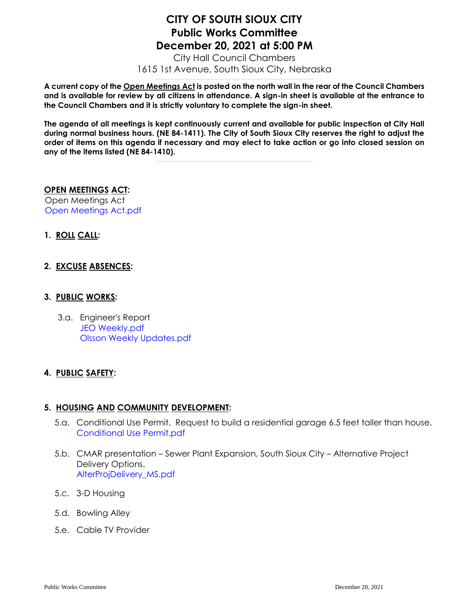# **CITY OF SOUTH SIOUX CITY Public Works Committee December 20, 2021 at 5:00 PM**

City Hall Council Chambers 1615 1st Avenue, South Sioux City, Nebraska .......................................................................................................

**A current copy of the Open Meetings Act is posted on the north wall in the rear of the Council Chambers and is available for review by all citizens in attendance. A sign-in sheet is available at the entrance to the Council Chambers and it is strictly voluntary to complete the sign-in sheet.**

**The agenda of all meetings is kept continuously current and available for public inspection at City Hall during normal business hours. (NE 84-1411). The City of South Sioux City reserves the right to adjust the order of items on this agenda if necessary and may elect to take action or go into closed session on any of the items listed (NE 84-1410).**

.......................................................................................................

#### **OPEN MEETINGS ACT:**

Open Meetings Act [Open Meetings Act.pdf](https://legistarweb-production.s3.amazonaws.com/uploads/attachment/pdf/1182390/Open_Meetings_Act.pdf)

**1. ROLL CALL:**

### **2. EXCUSE ABSENCES:**

#### **3. PUBLIC WORKS:**

3.a. Engineer's Report [JEO Weekly.pdf](https://legistarweb-production.s3.amazonaws.com/uploads/attachment/pdf/1182391/JEO_Weekly.pdf) [Olsson Weekly Updates.pdf](https://legistarweb-production.s3.amazonaws.com/uploads/attachment/pdf/1182392/Olsson_Weekly_Updates.pdf)

### **4. PUBLIC SAFETY:**

### **5. HOUSING AND COMMUNITY DEVELOPMENT:**

- 5.a. Conditional Use Permit. Request to build a residential garage 6.5 feet taller than house. [Conditional Use Permit.pdf](https://legistarweb-production.s3.amazonaws.com/uploads/attachment/pdf/1182403/Conditional_Use_Permit.pdf)
- 5.b. CMAR presentation Sewer Plant Expansion, South Sioux City Alternative Project Delivery Options. [AlterProjDelivery\\_MS.pdf](https://legistarweb-production.s3.amazonaws.com/uploads/attachment/pdf/1182407/AlterProjDelivery_MS.pdf)
- 5.c. 3-D Housing
- 5.d. Bowling Alley
- 5.e. Cable TV Provider